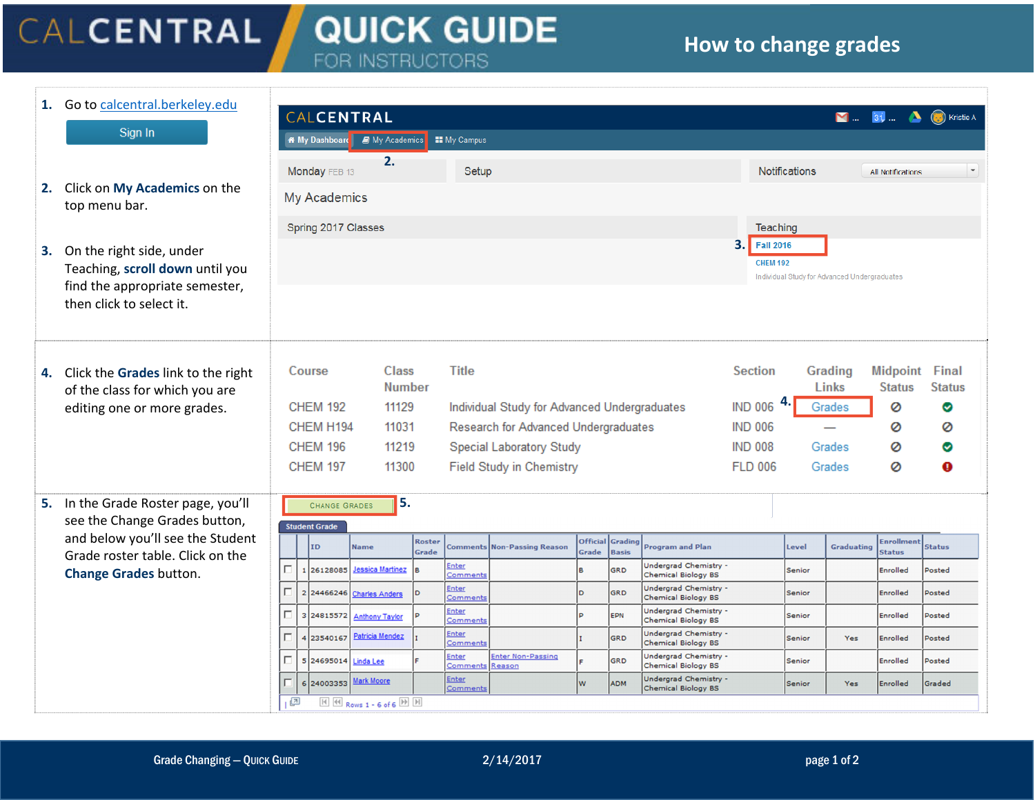## CALCENTRAL **QUICK GUIDE** FOR INSTRUCTORS

## **How to change grades**

**1.** Go to calcentral.berkeley.edu CALCENTRAL 31 ... **4** (a) Kristie A  $M_{\rm{max}}$ Sign In in My Dashboard **a** My Academics **EE** My Campus **2.**Monday FEB 13 Setup **Notifications All Notifications 2.** Click on **My Academics** on the **My Academics** top menu bar. Spring 2017 Classes **Teaching 3.Fall 2016 3.** On the right side, under **CHEM 192** Teaching, **scroll down** until you Individual Study for Advanced Undergraduates find the appropriate semester, then click to select it. Class **Title Section Grading Midpoint** Final Course **4.** Click the **Grades** link to the right **Number** Links **Status Status** of the class for which you are **4. CHEM 192** 11129 Individual Study for Advanced Undergraduates Grades Ø ✅ editing one or more grades. CHEM H194 11031 Research for Advanced Undergraduates **IND 006** Ø 0  $\overline{\phantom{a}}$ **CHEM 196** 11219 Special Laboratory Study **IND 008** Grades Ø ❤ **CHEM 197** 11300 **Field Study in Chemistry FLD 006** Ō Grades Ø **5.5.** In the Grade Roster page, you'll **CHANGE GRADES** see the Change Grades button, **Student Grade** and below you'll see the Student Roster **Official** Enrollmen Gradin ID Non-Passing Reason Graduating **Status Name Comments Program and Plan** Level Grade Grade **Basis Status** Grade roster table. Click on the Enter Undergrad Chemistry -Iп Jessica Martinez 1 26128085 **GRD** Senior Enrolled Posted **Change Grades** button. omment Chemical Biology BS Undergrad Chemistry -Iп Enter 24466246 **Charles Anders** b. GRD Senior Enrolled Posted Chemical Biology BS Comments  $\Box$ Enter Undergrad Chemistry -3 24815572 **Anthony Taylor** EPN Senior Enrolled Posted **Comment** Chemical Biology BS Enter Undergrad Chemistry - $\Gamma$ **Patricia Mendez** 4 23540167 Enrolled GRD Senior Yes Posted Comment Chemical Biology BS **Enter Non-Passing** Undergrad Chemistry -Enter E 5 24695014 Linda Lee GRD Senior Enrolled Posted Comment Reason Chemical Biology BS Undergrad Chemistry -F **Mark Moore** Enter 624003353 w ADM Senior Yes **Enrolled** Graded Comments Chemical Biology BS a  $\mathbb{H}$   $\overline{\mathbb{H}}$  Rows 1 - 6 of 6  $\overline{\mathbb{H}}$   $\overline{\mathbb{H}}$